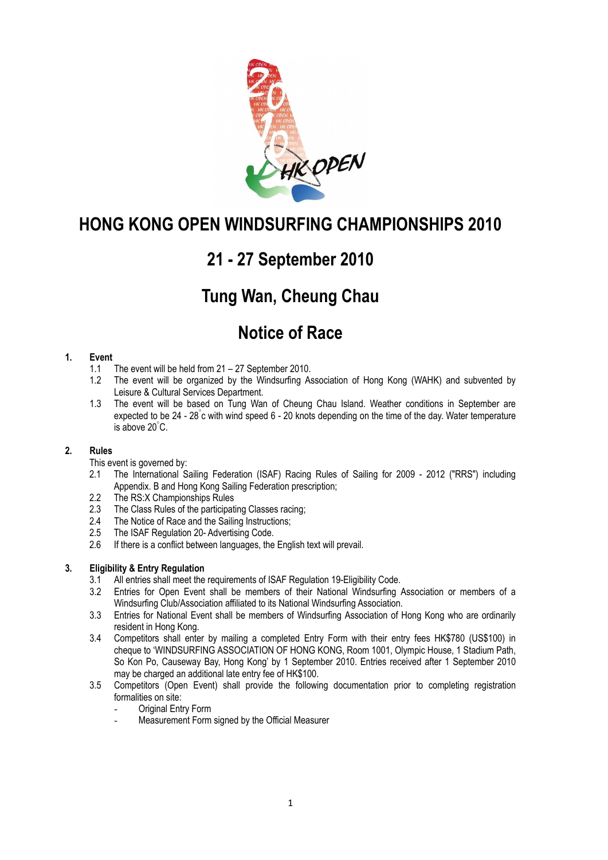

# **21 - 27 September 2010**

## **Tung Wan, Cheung Chau**

## **Notice of Race**

#### **1. Event**

- 1.1 The event will be held from 21 27 September 2010.
- 1.2 The event will be organized by the Windsurfing Association of Hong Kong (WAHK) and subvented by Leisure & Cultural Services Department.
- 1.3 The event will be based on Tung Wan of Cheung Chau Island. Weather conditions in September are expected to be 24 - 28° c with wind speed 6 - 20 knots depending on the time of the day. Water temperature is above 20° C.

#### **2. Rules**

- This event is governed by:
- 2.1 The International Sailing Federation (ISAF) Racing Rules of Sailing for 2009 2012 ("RRS") including Appendix. B and Hong Kong Sailing Federation prescription;
- 2.2 The RS:X Championships Rules<br>2.3 The Class Rules of the participat
- 2.3 The Class Rules of the participating Classes racing;<br>2.4 The Notice of Race and the Sailing Instructions:
- The Notice of Race and the Sailing Instructions:
- 2.5 The ISAF Regulation 20- Advertising Code.
- 2.6 If there is a conflict between languages, the English text will prevail.

### **3. Eligibility & Entry Regulation**

- 3.1 All entries shall meet the requirements of ISAF Regulation 19-Eligibility Code.
- 3.2 Entries for Open Event shall be members of their National Windsurfing Association or members of a Windsurfing Club/Association affiliated to its National Windsurfing Association.
- 3.3 Entries for National Event shall be members of Windsurfing Association of Hong Kong who are ordinarily resident in Hong Kong.
- 3.4 Competitors shall enter by mailing a completed Entry Form with their entry fees HK\$780 (US\$100) in cheque to 'WINDSURFING ASSOCIATION OF HONG KONG, Room 1001, Olympic House, 1 Stadium Path, So Kon Po, Causeway Bay, Hong Kong' by 1 September 2010. Entries received after 1 September 2010 may be charged an additional late entry fee of HK\$100.
- 3.5 Competitors (Open Event) shall provide the following documentation prior to completing registration formalities on site:
	- Original Entry Form
	- Measurement Form signed by the Official Measurer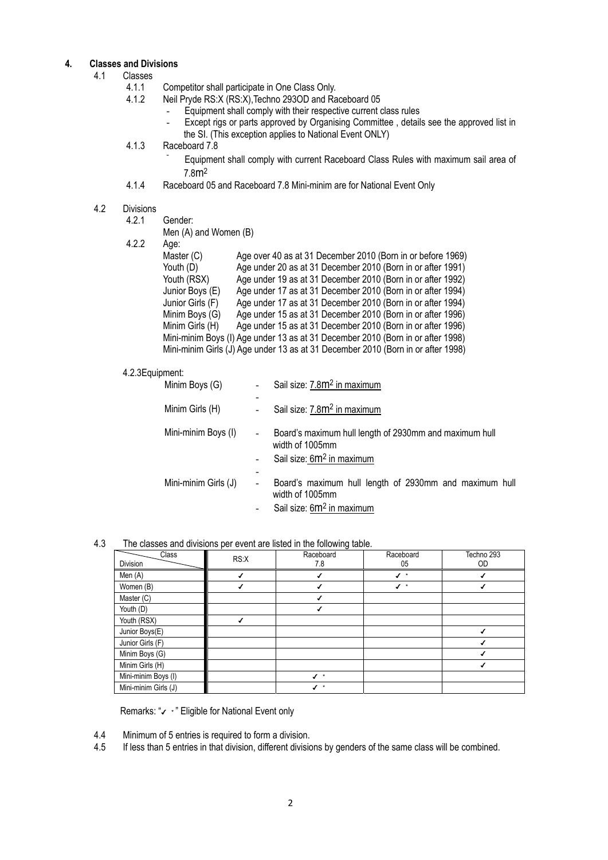## **4. Classes and Divisions**

- Classes<br>4.1.1
	- 4.1.1 Competitor shall participate in One Class Only.<br>4.1.2 Neil Pryde RS:X (RS:X) Techno 2930D and Ra
		- Neil Pryde RS:X (RS:X), Techno 293OD and Raceboard 05
			- Equipment shall comply with their respective current class rules
			- Except rigs or parts approved by Organising Committee, details see the approved list in the SI. (This exception applies to National Event ONLY)
	- 4.1.3 Raceboard 7.8
		- Equipment shall comply with current Raceboard Class Rules with maximum sail area of 7.8m2
	- 4.1.4 Raceboard 05 and Raceboard 7.8 Mini-minim are for National Event Only

#### 4.2 Divisions

|  |  | Men (A) and Women (B) |  |  |
|--|--|-----------------------|--|--|
|--|--|-----------------------|--|--|

4.2.2 Age:

| nyv.             |                                                                                  |  |
|------------------|----------------------------------------------------------------------------------|--|
| Master (C)       | Age over 40 as at 31 December 2010 (Born in or before 1969)                      |  |
| Youth (D)        | Age under 20 as at 31 December 2010 (Born in or after 1991)                      |  |
| Youth (RSX)      | Age under 19 as at 31 December 2010 (Born in or after 1992)                      |  |
| Junior Boys (E)  | Age under 17 as at 31 December 2010 (Born in or after 1994)                      |  |
| Junior Girls (F) | Age under 17 as at 31 December 2010 (Born in or after 1994)                      |  |
| Minim Boys (G)   | Age under 15 as at 31 December 2010 (Born in or after 1996)                      |  |
| Minim Girls (H)  | Age under 15 as at 31 December 2010 (Born in or after 1996)                      |  |
|                  | Mini-minim Boys (I) Age under 13 as at 31 December 2010 (Born in or after 1998)  |  |
|                  | Mini-minim Girls (J) Age under 13 as at 31 December 2010 (Born in or after 1998) |  |
|                  |                                                                                  |  |

#### 4.2.3Equipment:

| Minim Boys (G)       |                              | Sail size: 7.8m <sup>2</sup> in maximum                                                                            |
|----------------------|------------------------------|--------------------------------------------------------------------------------------------------------------------|
| Minim Girls (H)      |                              | Sail size: 7.8m <sup>2</sup> in maximum                                                                            |
| Mini-minim Boys (I)  |                              | Board's maximum hull length of 2930mm and maximum hull<br>width of 1005mm<br>Sail size: 6m <sup>2</sup> in maximum |
| Mini-minim Girls (J) | $\qquad \qquad \blacksquare$ | Board's maximum hull length of 2930mm and maximum hull<br>width of 1005mm<br>Sail size: 6m <sup>2</sup> in maximum |

#### 4.3 The classes and divisions per event are listed in the following table.

| Class<br>Division    | RS:X | Raceboard<br>7.8          | Raceboard<br>05 | Techno 293<br>OD |
|----------------------|------|---------------------------|-----------------|------------------|
| Men (A)              |      |                           |                 |                  |
| Women (B)            |      |                           | ✔<br>$\star$    |                  |
| Master (C)           |      |                           |                 |                  |
| Youth (D)            |      |                           |                 |                  |
| Youth (RSX)          |      |                           |                 |                  |
| Junior Boys(E)       |      |                           |                 |                  |
| Junior Girls (F)     |      |                           |                 |                  |
| Minim Boys (G)       |      |                           |                 |                  |
| Minim Girls (H)      |      |                           |                 |                  |
| Mini-minim Boys (I)  |      | $\star$<br>$\overline{ }$ |                 |                  |
| Mini-minim Girls (J) |      | $\star$                   |                 |                  |

Remarks: "✔ \*" Eligible for National Event only

- 4.4 Minimum of 5 entries is required to form a division.<br>4.5 If less than 5 entries in that division, different division
- If less than 5 entries in that division, different divisions by genders of the same class will be combined.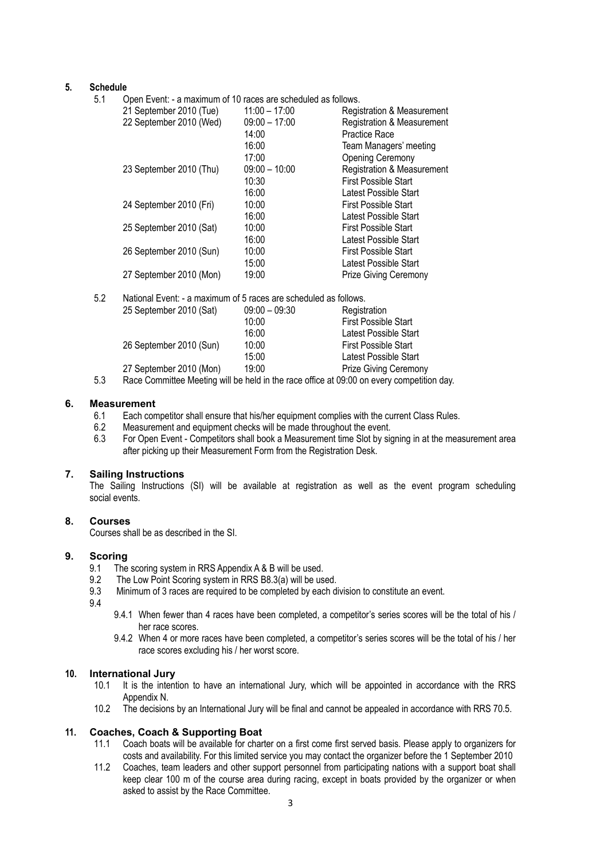#### **5. Schedule**

5.1 Open Event: - a maximum of 10 races are scheduled as follows.

| ◡. ୲ | Opon Evont. - a maximum or To Tacco are scributiled as follows.  |                 |                                       |
|------|------------------------------------------------------------------|-----------------|---------------------------------------|
|      | 21 September 2010 (Tue)                                          | $11:00 - 17:00$ | Registration & Measurement            |
|      | 22 September 2010 (Wed)                                          | $09:00 - 17:00$ | <b>Registration &amp; Measurement</b> |
|      |                                                                  | 14:00           | Practice Race                         |
|      |                                                                  | 16:00           | Team Managers' meeting                |
|      |                                                                  | 17:00           | Opening Ceremony                      |
|      | 23 September 2010 (Thu)                                          | $09:00 - 10:00$ | <b>Registration &amp; Measurement</b> |
|      |                                                                  | 10:30           | <b>First Possible Start</b>           |
|      |                                                                  | 16:00           | Latest Possible Start                 |
|      | 24 September 2010 (Fri)                                          | 10:00           | <b>First Possible Start</b>           |
|      |                                                                  | 16:00           | Latest Possible Start                 |
|      | 25 September 2010 (Sat)                                          | 10:00           | <b>First Possible Start</b>           |
|      |                                                                  | 16:00           | Latest Possible Start                 |
|      | 26 September 2010 (Sun)                                          | 10:00           | First Possible Start                  |
|      |                                                                  | 15:00           | Latest Possible Start                 |
|      | 27 September 2010 (Mon)                                          | 19:00           | <b>Prize Giving Ceremony</b>          |
| 5.2  | National Event: - a maximum of 5 races are scheduled as follows. |                 |                                       |
|      |                                                                  |                 |                                       |

| J.Z | TVAIDHALEVEHI. - A HIAXIITIUHI OL 3 TACES ALE SCHEUUIEU AS TOIJOWS. |                 |                                                                                          |
|-----|---------------------------------------------------------------------|-----------------|------------------------------------------------------------------------------------------|
|     | 25 September 2010 (Sat)                                             | $09:00 - 09:30$ | Registration                                                                             |
|     |                                                                     | 10:00           | <b>First Possible Start</b>                                                              |
|     |                                                                     | 16:00           | Latest Possible Start                                                                    |
|     | 26 September 2010 (Sun)                                             | 10:00           | First Possible Start                                                                     |
|     |                                                                     | 15:00           | Latest Possible Start                                                                    |
|     | 27 September 2010 (Mon)                                             | 19:00           | <b>Prize Giving Ceremony</b>                                                             |
| ะ ว |                                                                     |                 | $D288$ Committee Meeting will be hold in the race office at $00:00$ an eveny competition |

5.3 Race Committee Meeting will be held in the race office at 09:00 on every competition day.

#### **6. Measurement**

- 6.1 Each competitor shall ensure that his/her equipment complies with the current Class Rules.
- 6.2 Measurement and equipment checks will be made throughout the event.
- 6.3 For Open Event Competitors shall book a Measurement time Slot by signing in at the measurement area after picking up their Measurement Form from the Registration Desk.

#### **7. Sailing Instructions**

The Sailing Instructions (SI) will be available at registration as well as the event program scheduling social events.

#### **8. Courses**

Courses shall be as described in the SI.

#### **9. Scoring**

- 9.1 The scoring system in RRS Appendix A & B will be used.
- 9.2 The Low Point Scoring system in RRS B8.3(a) will be used.
- 9.3 Minimum of 3 races are required to be completed by each division to constitute an event.
- 9.4
- 9.4.1 When fewer than 4 races have been completed, a competitor's series scores will be the total of his / her race scores.
- 9.4.2 When 4 or more races have been completed, a competitor's series scores will be the total of his / her race scores excluding his / her worst score.

#### **10. International Jury**

- 10.1 It is the intention to have an international Jury, which will be appointed in accordance with the RRS Appendix N.
- 10.2 The decisions by an International Jury will be final and cannot be appealed in accordance with RRS 70.5.

#### **11. Coaches, Coach & Supporting Boat**

- 11.1 Coach boats will be available for charter on a first come first served basis. Please apply to organizers for costs and availability. For this limited service you may contact the organizer before the 1 September 2010
- 11.2 Coaches, team leaders and other support personnel from participating nations with a support boat shall keep clear 100 m of the course area during racing, except in boats provided by the organizer or when asked to assist by the Race Committee.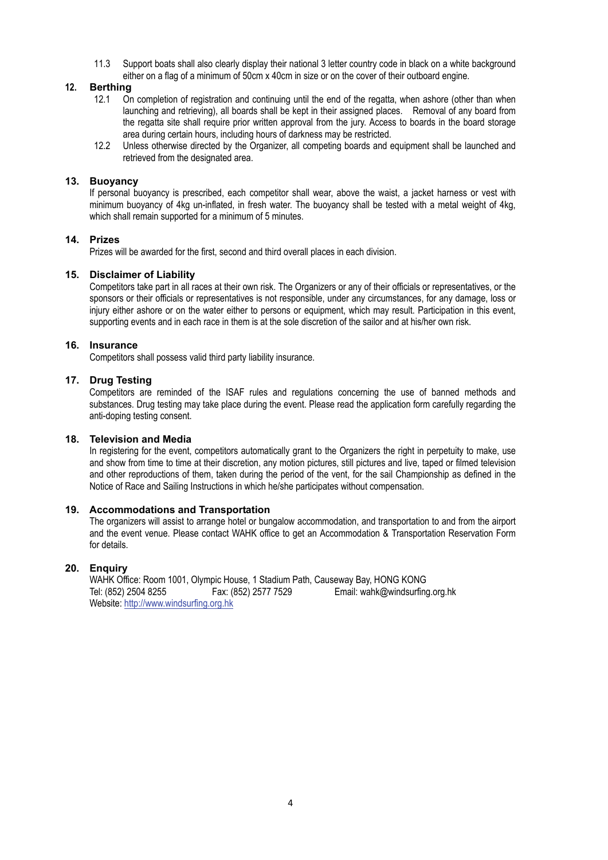11.3 Support boats shall also clearly display their national 3 letter country code in black on a white background either on a flag of a minimum of 50cm x 40cm in size or on the cover of their outboard engine.

#### **12. Berthing**

- 12.1 On completion of registration and continuing until the end of the regatta, when ashore (other than when launching and retrieving), all boards shall be kept in their assigned places. Removal of any board from the regatta site shall require prior written approval from the jury. Access to boards in the board storage area during certain hours, including hours of darkness may be restricted.
- 12.2 Unless otherwise directed by the Organizer, all competing boards and equipment shall be launched and retrieved from the designated area.

#### **13. Buoyancy**

If personal buoyancy is prescribed, each competitor shall wear, above the waist, a jacket harness or vest with minimum buoyancy of 4kg un-inflated, in fresh water. The buoyancy shall be tested with a metal weight of 4kg, which shall remain supported for a minimum of 5 minutes.

#### **14. Prizes**

Prizes will be awarded for the first, second and third overall places in each division.

#### **15. Disclaimer of Liability**

Competitors take part in all races at their own risk. The Organizers or any of their officials or representatives, or the sponsors or their officials or representatives is not responsible, under any circumstances, for any damage, loss or injury either ashore or on the water either to persons or equipment, which may result. Participation in this event, supporting events and in each race in them is at the sole discretion of the sailor and at his/her own risk.

#### **16. Insurance**

Competitors shall possess valid third party liability insurance.

#### **17. Drug Testing**

Competitors are reminded of the ISAF rules and regulations concerning the use of banned methods and substances. Drug testing may take place during the event. Please read the application form carefully regarding the anti-doping testing consent.

#### **18. Television and Media**

In registering for the event, competitors automatically grant to the Organizers the right in perpetuity to make, use and show from time to time at their discretion, any motion pictures, still pictures and live, taped or filmed television and other reproductions of them, taken during the period of the vent, for the sail Championship as defined in the Notice of Race and Sailing Instructions in which he/she participates without compensation.

#### **19. Accommodations and Transportation**

The organizers will assist to arrange hotel or bungalow accommodation, and transportation to and from the airport and the event venue. Please contact WAHK office to get an Accommodation & Transportation Reservation Form for details.

#### **20. Enquiry**

 WAHK Office: Room 1001, Olympic House, 1 Stadium Path, Causeway Bay, HONG KONG Tel: (852) 2504 8255 Fax: (852) 2577 7529 Email: wahk@windsurfing.org.hk Website: http://www.windsurfing.org.hk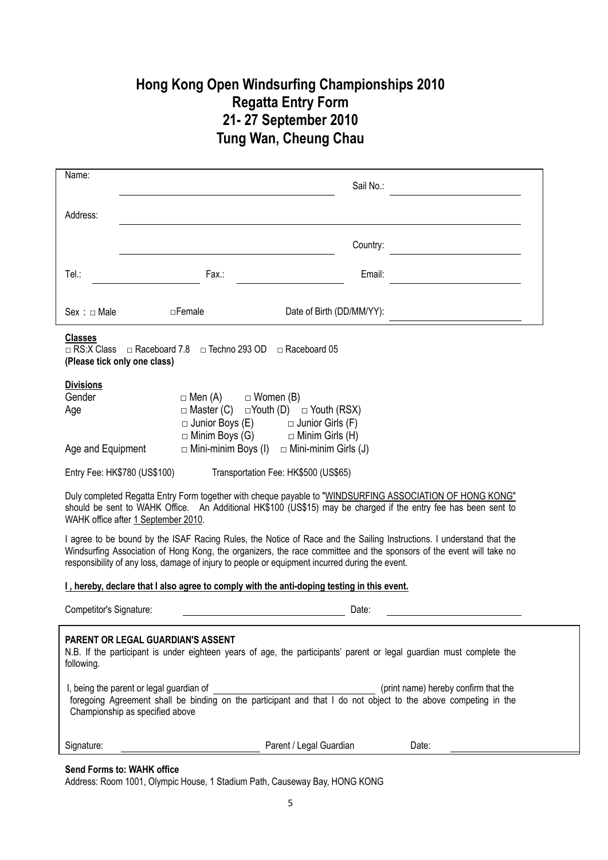### **Hong Kong Open Windsurfing Championships 2010 Regatta Entry Form 21- 27 September 2010 Tung Wan, Cheung Chau**

| Name:                                                                                          |                                             |                                                             | Sail No.: |                                                                                                                                                                                                                                             |
|------------------------------------------------------------------------------------------------|---------------------------------------------|-------------------------------------------------------------|-----------|---------------------------------------------------------------------------------------------------------------------------------------------------------------------------------------------------------------------------------------------|
| Address:                                                                                       |                                             |                                                             |           |                                                                                                                                                                                                                                             |
|                                                                                                |                                             |                                                             | Country:  |                                                                                                                                                                                                                                             |
| Tel.:                                                                                          | Fax.:                                       |                                                             | Email:    |                                                                                                                                                                                                                                             |
|                                                                                                |                                             |                                                             |           |                                                                                                                                                                                                                                             |
| Sex : <b>quare</b>                                                                             | $\Box$ Female                               | Date of Birth (DD/MM/YY):                                   |           |                                                                                                                                                                                                                                             |
| <b>Classes</b><br>□ RS:X Class<br>$\Box$ Raceboard 7.8<br>(Please tick only one class)         |                                             | $\Box$ Techno 293 OD $\Box$ Raceboard 05                    |           |                                                                                                                                                                                                                                             |
| <b>Divisions</b>                                                                               |                                             |                                                             |           |                                                                                                                                                                                                                                             |
| Gender                                                                                         | $\Box$ Men (A)                              | $\Box$ Women (B)                                            |           |                                                                                                                                                                                                                                             |
| Age                                                                                            | $\Box$ Master (C)<br>$\Box$ Junior Boys (E) | □Youth (D)<br>$\Box$ Youth (RSX)<br>$\Box$ Junior Girls (F) |           |                                                                                                                                                                                                                                             |
|                                                                                                | $\Box$ Minim Boys (G)                       | $\Box$ Minim Girls (H)                                      |           |                                                                                                                                                                                                                                             |
| Age and Equipment                                                                              | $\Box$ Mini-minim Boys (I)                  | $\Box$ Mini-minim Girls (J)                                 |           |                                                                                                                                                                                                                                             |
| Entry Fee: HK\$780 (US\$100)                                                                   |                                             | Transportation Fee: HK\$500 (US\$65)                        |           |                                                                                                                                                                                                                                             |
| WAHK office after 1 September 2010.                                                            |                                             |                                                             |           | Duly completed Regatta Entry Form together with cheque payable to "WINDSURFING ASSOCIATION OF HONG KONG"<br>should be sent to WAHK Office. An Additional HK\$100 (US\$15) may be charged if the entry fee has been sent to                  |
| responsibility of any loss, damage of injury to people or equipment incurred during the event. |                                             |                                                             |           | I agree to be bound by the ISAF Racing Rules, the Notice of Race and the Sailing Instructions. I understand that the<br>Windsurfing Association of Hong Kong, the organizers, the race committee and the sponsors of the event will take no |
| I, hereby, declare that I also agree to comply with the anti-doping testing in this event.     |                                             |                                                             |           |                                                                                                                                                                                                                                             |
| Competitor's Signature:<br>Date:                                                               |                                             |                                                             |           |                                                                                                                                                                                                                                             |
| <b>PARENT OR LEGAL GUARDIAN'S ASSENT</b><br>following.                                         |                                             |                                                             |           | N.B. If the participant is under eighteen years of age, the participants' parent or legal guardian must complete the                                                                                                                        |
| I, being the parent or legal guardian of<br>Championship as specified above                    |                                             |                                                             |           | (print name) hereby confirm that the<br>foregoing Agreement shall be binding on the participant and that I do not object to the above competing in the                                                                                      |
| Signature:                                                                                     |                                             | Parent / Legal Guardian                                     |           | Date:                                                                                                                                                                                                                                       |
| <b>Send Forms to: WAHK office</b>                                                              |                                             |                                                             |           |                                                                                                                                                                                                                                             |

Address: Room 1001, Olympic House, 1 Stadium Path, Causeway Bay, HONG KONG